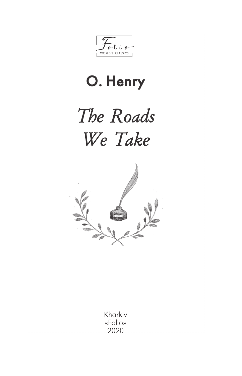$l_{\rightarrow -0}$  $\mathbf{r}$ WORLD'S CLASSICS

## O. Henry

## The Roads We Take



Kharkiv «Folio» 2020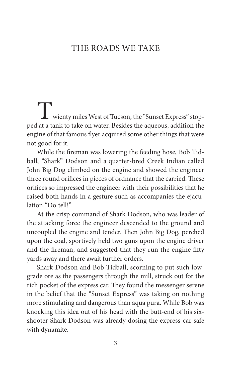## THE ROADS WE TAKE

Twienty miles West of Tucson, the "Sunset Express" stop-ped at a tank to take on water. Besides the aqueous, addition the engine of that famous flyer acquired some other things that were not good for it.

While the fireman was lowering the feeding hose, Bob Tidball, "Shark" Dodson and a quarter-bred Creek Indian called John Big Dog climbed on the engine and showed the engineer three round orifices in pieces of ordnance that the carried. These orifices so impressed the engineer with their possibilities that he raised both hands in a gesture such as accompanies the ejaculation "Do tell!"

At the crisp command of Shark Dodson, who was leader of the attacking force the engineer descended to the ground and uncoupled the engine and tender. Then John Big Dog, perched upon the coal, sportively held two guns upon the engine driver and the fireman, and suggested that they run the engine fifty yards away and there await further orders.

Shark Dodson and Bob Tidball, scorning to put such lowgrade ore as the passengers through the mill, struck out for the rich pocket of the express car. They found the messenger serene in the belief that the "Sunset Express" was taking on nothing more stimulating and dangerous than aqua pura. While Bob was knocking this idea out of his head with the butt-end of his sixshooter Shark Dodson was already dosing the express-car safe with dynamite.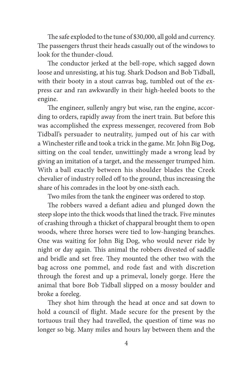The safe exploded to the tune of \$30,000, all gold and currency. The passengers thrust their heads casually out of the windows to look for the thunder-cloud.

The conductor jerked at the bell-rope, which sagged down loose and unresisting, at his tug. Shark Dodson and Bob Tidball, with their booty in a stout canvas bag, tumbled out of the express car and ran awkwardly in their high-heeled boots to the engine.

The engineer, sullenly angry but wise, ran the engine, according to orders, rapidly away from the inert train. But before this was accomplished the express messenger, recovered from Bob Tidball's persuader to neutrality, jumped out of his car with a Winchester rifle and took a trick in the game. Mr. John Big Dog, sitting on the coal tender, unwittingly made a wrong lead by giving an imitation of a target, and the messenger trumped him. With a ball exactly between his shoulder blades the Creek chevalier of industry rolled off to the ground, thus increasing the share of his comrades in the loot by one-sixth each.

Two miles from the tank the engineer was ordered to stop.

The robbers waved a defiant adieu and plunged down the steep slope into the thick woods that lined the track. Five minutes of crashing through a thicket of chapparal brought them to open woods, where three horses were tied to low-hanging branches. One was waiting for John Big Dog, who would never ride by night or day again. This animal the robbers divested of saddle and bridle and set free. They mounted the other two with the bag across one pommel, and rode fast and with discretion through the forest and up a primeval, lonely gorge. Here the animal that bore Bob Tidball slipped on a mossy boulder and broke a foreleg.

They shot him through the head at once and sat down to hold a council of flight. Made secure for the present by the tortuous trail they had travelled, the question of time was no longer so big. Many miles and hours lay between them and the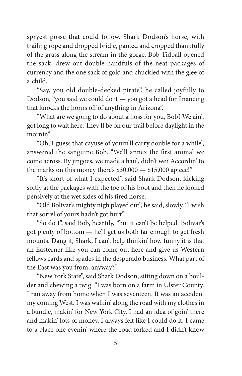spryest posse that could follow. Shark Dodson's horse, with trailing rope and dropped bridle, panted and cropped thankfully of the grass along the stream in the gorge. Bob Tidball opened the sack, drew out double handfuls of the neat packages of currency and the one sack of gold and chuckled with the glee of a child.

"Say, you old double-decked pirate", he called joyfully to Dodson, "you said we could do it  $-$  you got a head for financing that knocks the horns off of anything in Arizona".

"What are we going to do about a hoss for you, Bob? We ain't got long to wait here. They'll be on our trail before daylight in the mornin".

"Oh, I guess that cayuse of yourn'll carry double for a while", answered the sanguine Bob. "We'll annex the first animal we come across. By jingoes, we made a haul, didn't we? Accordin' to the marks on this money there's \$30,000 — \$15,000 apiece!"

"It's short of what I expected", said Shark Dodson, kicking softly at the packages with the toe of his boot and then he looked pensively at the wet sides of his tired horse.

"Old Bolivar's mighty nigh played out", he said, slowly. "I wish that sorrel of yours hadn't got hurt".

"So do I", said Bob, heartily, "but it can't be helped. Bolivar's got plenty of bottom — he'll get us both far enough to get fresh mounts. Dang it, Shark, I can't belp thinkin' how funny it is that an Easterner like you can come out here and give us Western fellows cards and spades in the desperado business. What part of the East was you from, anyway?"

"New York State", said Shark Dodson, sitting down on a boulder and chewing a twig. "I was born on a farm in Ulster County. I ran away from home when I was seventeen. It was an accident my coming West. I was walkin' along the road with my clothes in a bundle, makin' for New York City. I had an idea of goin' there and makin' lots of money. I always felt like I could do it. I came to a place one evenin' where the road forked and I didn't know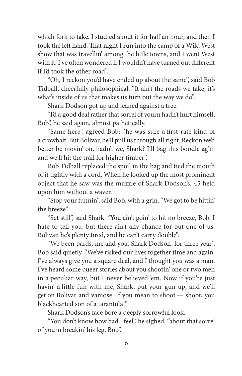which fork to take. I studied about it for half an hour, and then I took the left hand. That night I run into the camp of a Wild West show that was travellin' among the little towns, and I went West with it. I've often wondered if I wouldn't have turned out different if I'd took the other road".

"Oh, I reckon you'd have ended up about the same", said Bob Tidball, cheerfully philosophical. "It ain't the roads we take; it's what's inside of us that makes us turn out the way we do".

Shark Dodson got up and leaned against a tree.

"I'd a good deal rather that sorrel of yourn hadn't hurt himself, Bob", he said again, almost pathetically.

"Same here", agreed Bob; "he was sure a first-rate kind of a crowbait. But Bolivar, he'll pull us through all right. Reckon we'd better be movin' on, hadn't we, Shark? I'll bag this boodle ag'in and we'll hit the trail for higher timber".

Bob Tidball replaced the spoil in the bag and tied the mouth of it tightly with a cord. When he looked up the most prominent object that he saw was the muzzle of Shark Dodson's. 45 held upon him without a waver.

"Stop your funnin", said Bob, with a grin. "We got to be hittin' the breeze".

"Set still", said Shark. "You ain't goin' to hit no breeze, Bob. I hate to tell you, but there ain't any chance for but one of us. Bolivar, he's plenty tired, and he can't carry double".

"We been pards, me and you, Shark Dodson, for three year", Bob said quietly. "We've risked our lives together time and again. I've always give you a square deal, and I thought you was a man. I've heard some queer stories about you shootin' one or two men in a peculiar way, but I never believed 'em. Now if you're just havin' a little fun with me, Shark, put your gun up, and we'll get on Bolivar and vamose. If you mean to shoot — shoot, you blackhearted son of a tarantula!"

Shark Dodson's face bore a deeply sorrowful look.

"You don't know how bad I feel", he sighed, "about that sorrel of yourn breakin' his leg, Bob".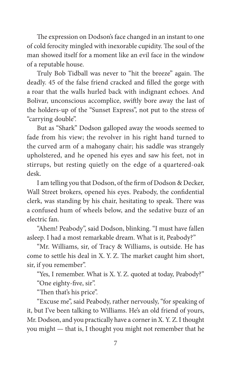The expression on Dodson's face changed in an instant to one of cold ferocity mingled with inexorable cupidity. The soul of the man showed itself for a moment like an evil face in the window of a reputable house.

Truly Bob Tidball was never to "hit the breeze" again. The deadly. 45 of the false friend cracked and filled the gorge with a roar that the walls hurled back with indignant echoes. And Bolivar, unconscious accomplice, swiftly bore away the last of the holders-up of the "Sunset Express", not put to the stress of "carrying double".

But as "Shark" Dodson galloped away the woods seemed to fade from his view; the revolver in his right hand turned to the curved arm of a mahogany chair; his saddle was strangely upholstered, and he opened his eyes and saw his feet, not in stirrups, but resting quietly on the edge of a quartered-oak desk.

I am telling you that Dodson, of the firm of Dodson & Decker, Wall Street brokers, opened his eyes. Peabody, the confidential clerk, was standing by his chair, hesitating to speak. There was a confused hum of wheels below, and the sedative buzz of an electric fan.

"Ahem! Peabody", said Dodson, blinking. "I must have fallen asleep. I had a most remarkable dream. What is it, Peabody?"

"Mr. Williams, sir, of Tracy & Williams, is outside. He has come to settle his deal in X. Y. Z. The market caught him short, sir, if you remember".

"Yes, I remember. What is X. Y. Z. quoted at today, Peabody?"

"One eighty-five, sir".

"Then that's his price".

"Excuse me", said Peabody, rather nervously, "for speaking of it, but I've been talking to Williams. He's an old friend of yours, Mr. Dodson, and you practically have a corner in X. Y. Z. I thought you might — that is, I thought you might not remember that he